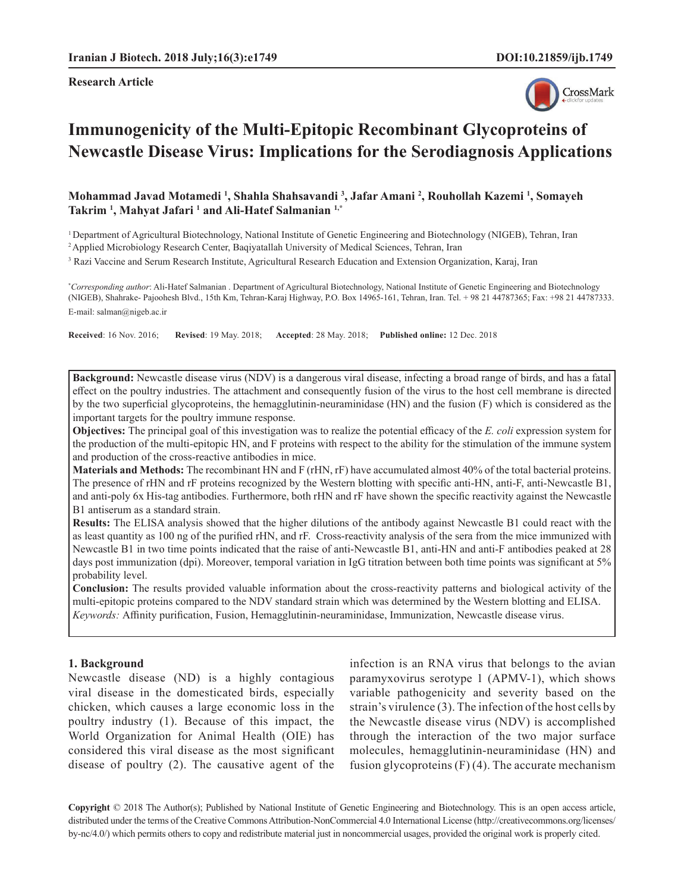**Research Article**



# **Immunogenicity of the Multi-Epitopic Recombinant Glycoproteins of Newcastle Disease Virus: Implications for the Serodiagnosis Applications**

**Mohammad Javad Motamedi 1 , Shahla Shahsavandi 3 , Jafar Amani 2 , Rouhollah Kazemi 1 , Somayeh Takrim 1 , Mahyat Jafari 1 and Ali-Hatef Salmanian 1,\***

1 Department of Agricultural Biotechnology, National Institute of Genetic Engineering and Biotechnology (NIGEB), Tehran, Iran

2 Applied Microbiology Research Center, Baqiyatallah University of Medical Sciences, Tehran, Iran

<sup>3</sup> Razi Vaccine and Serum Research Institute, Agricultural Research Education and Extension Organization, Karaj, Iran

**\*** *Corresponding author*: Ali-Hatef Salmanian . Department of Agricultural Biotechnology, National Institute of Genetic Engineering and Biotechnology (NIGEB), Shahrake- Pajoohesh Blvd., 15th Km, Tehran-Karaj Highway, P.O. Box 14965-161, Tehran, Iran. Tel. + 98 21 44787365; Fax: +98 21 44787333. E-mail: [salman@nigeb.ac.ir](mailto:salman@nigeb.ac.ir)

**Received**: 16 Nov. 2016; **Revised**: 19 May. 2018; **Accepted**: 28 May. 2018; **Published online:** 12 Dec. 2018

**Background:** Newcastle disease virus (NDV) is a dangerous viral disease, infecting a broad range of birds, and has a fatal effect on the poultry industries. The attachment and consequently fusion of the virus to the host cell membrane is directed by the two superficial glycoproteins, the hemagglutinin-neuraminidase (HN) and the fusion (F) which is considered as the important targets for the poultry immune response.

**Objectives:** The principal goal of this investigation was to realize the potential efficacy of the *E. coli* expression system for the production of the multi-epitopic HN, and F proteins with respect to the ability for the stimulation of the immune system and production of the cross-reactive antibodies in mice.

**Materials and Methods:** The recombinant HN and F (rHN, rF) have accumulated almost 40% of the total bacterial proteins. The presence of rHN and rF proteins recognized by the Western blotting with specific anti-HN, anti-F, anti-Newcastle B1, and anti-poly 6x His-tag antibodies. Furthermore, both rHN and rF have shown the specific reactivity against the Newcastle B1 antiserum as a standard strain.

**Results:** The ELISA analysis showed that the higher dilutions of the antibody against Newcastle B1 could react with the as least quantity as 100 ng of the purified rHN, and rF. Cross-reactivity analysis of the sera from the mice immunized with Newcastle B1 in two time points indicated that the raise of anti-Newcastle B1, anti-HN and anti-F antibodies peaked at 28 days post immunization (dpi). Moreover, temporal variation in IgG titration between both time points was significant at 5% probability level.

**Conclusion:** The results provided valuable information about the cross-reactivity patterns and biological activity of the multi-epitopic proteins compared to the NDV standard strain which was determined by the Western blotting and ELISA. *Keywords:* Affinity purification, Fusion, Hemagglutinin-neuraminidase, Immunization, Newcastle disease virus.

#### **1. Background**

Newcastle disease (ND) is a highly contagious viral disease in the domesticated birds, especially chicken, which causes a large economic loss in the poultry industry (1). Because of this impact, the World Organization for Animal Health (OIE) has considered this viral disease as the most significant disease of poultry (2). The causative agent of the infection is an RNA virus that belongs to the avian paramyxovirus serotype 1 (APMV-1), which shows variable pathogenicity and severity based on the strain's virulence (3). The infection of the host cells by the Newcastle disease virus (NDV) is accomplished through the interaction of the two major surface molecules, hemagglutinin-neuraminidase (HN) and fusion glycoproteins  $(F)(4)$ . The accurate mechanism

**Copyright** © 2018 The Author(s); Published by National Institute of Genetic Engineering and Biotechnology. This is an open access article, distributed under the terms of the Creative Commons Attribution-NonCommercial 4.0 International License (http://creativecommons.org/licenses/ by-nc/4.0/) which permits others to copy and redistribute material just in noncommercial usages, provided the original work is properly cited.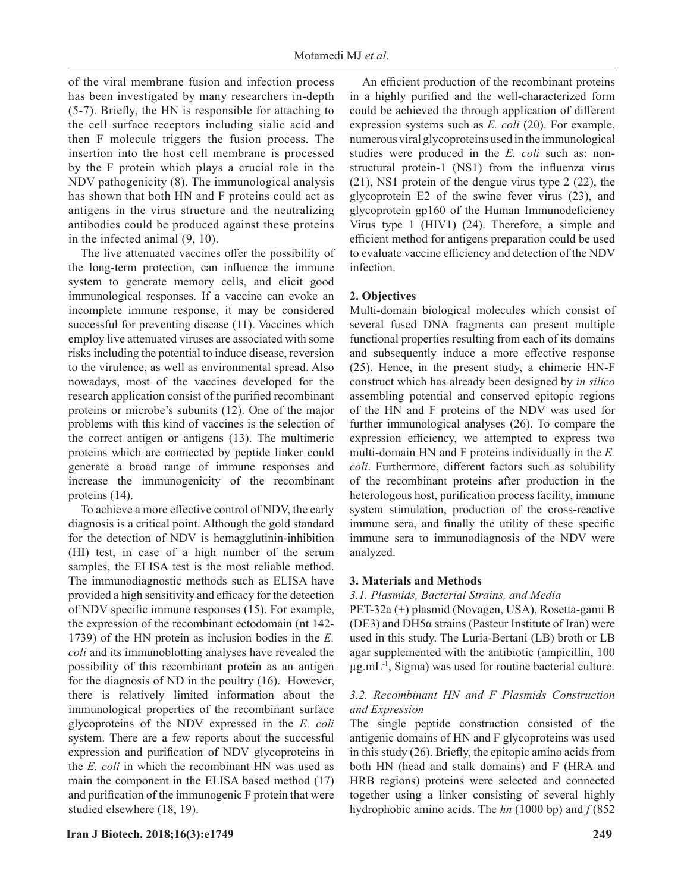of the viral membrane fusion and infection process has been investigated by many researchers in-depth (5-7). Briefly, the HN is responsible for attaching to the cell surface receptors including sialic acid and then F molecule triggers the fusion process. The insertion into the host cell membrane is processed by the F protein which plays a crucial role in the NDV pathogenicity (8). The immunological analysis has shown that both HN and F proteins could act as antigens in the virus structure and the neutralizing antibodies could be produced against these proteins in the infected animal (9, 10).

The live attenuated vaccines offer the possibility of the long-term protection, can influence the immune system to generate memory cells, and elicit good immunological responses. If a vaccine can evoke an incomplete immune response, it may be considered successful for preventing disease (11). Vaccines which employ live attenuated viruses are associated with some risks including the potential to induce disease, reversion to the virulence, as well as environmental spread. Also nowadays, most of the vaccines developed for the research application consist of the purified recombinant proteins or microbe's subunits (12). One of the major problems with this kind of vaccines is the selection of the correct antigen or antigens (13). The multimeric proteins which are connected by peptide linker could generate a broad range of immune responses and increase the immunogenicity of the recombinant proteins (14).

To achieve a more effective control of NDV, the early diagnosis is a critical point. Although the gold standard for the detection of NDV is hemagglutinin-inhibition (HI) test, in case of a high number of the serum samples, the ELISA test is the most reliable method. The immunodiagnostic methods such as ELISA have provided a high sensitivity and efficacy for the detection of NDV specific immune responses (15). For example, the expression of the recombinant ectodomain (nt 142- 1739) of the HN protein as inclusion bodies in the *E. coli* and its immunoblotting analyses have revealed the possibility of this recombinant protein as an antigen for the diagnosis of ND in the poultry (16). However, there is relatively limited information about the immunological properties of the recombinant surface glycoproteins of the NDV expressed in the *E. coli* system. There are a few reports about the successful expression and purification of NDV glycoproteins in the *E. coli* in which the recombinant HN was used as main the component in the ELISA based method (17) and purification of the immunogenic F protein that were studied elsewhere (18, 19).

An efficient production of the recombinant proteins in a highly purified and the well-characterized form could be achieved the through application of different expression systems such as *E. coli* (20). For example, numerous viral glycoproteins used in the immunological studies were produced in the *E. coli* such as: nonstructural protein-1 (NS1) from the influenza virus (21), NS1 protein of the dengue virus type 2 (22), the glycoprotein E2 of the swine fever virus (23), and glycoprotein gp160 of the Human Immunodeficiency Virus type 1 (HIV1) (24). Therefore, a simple and efficient method for antigens preparation could be used to evaluate vaccine efficiency and detection of the NDV infection.

# **2. Objectives**

Multi-domain biological molecules which consist of several fused DNA fragments can present multiple functional properties resulting from each of its domains and subsequently induce a more effective response (25). Hence, in the present study, a chimeric HN-F construct which has already been designed by *in silico* assembling potential and conserved epitopic regions of the HN and F proteins of the NDV was used for further immunological analyses (26). To compare the expression efficiency, we attempted to express two multi-domain HN and F proteins individually in the *E. coli*. Furthermore, different factors such as solubility of the recombinant proteins after production in the heterologous host, purification process facility, immune system stimulation, production of the cross-reactive immune sera, and finally the utility of these specific immune sera to immunodiagnosis of the NDV were analyzed.

## **3. Materials and Methods**

#### *3.1. Plasmids, Bacterial Strains, and Media*

PET-32a (+) plasmid (Novagen, USA), Rosetta-gami B (DE3) and DH5 $\alpha$  strains (Pasteur Institute of Iran) were used in this study. The Luria-Bertani (LB) broth or LB agar supplemented with the antibiotic (ampicillin, 100  $\mu$ g.mL<sup>-1</sup>, Sigma) was used for routine bacterial culture.

## *3.2. Recombinant HN and F Plasmids Construction and Expression*

The single peptide construction consisted of the antigenic domains of HN and F glycoproteins was used in this study (26). Briefly, the epitopic amino acids from both HN (head and stalk domains) and F (HRA and HRB regions) proteins were selected and connected together using a linker consisting of several highly hydrophobic amino acids. The *hn* (1000 bp) and *f* (852

## **Iran J Biotech. 2018;16(3):e1749 249**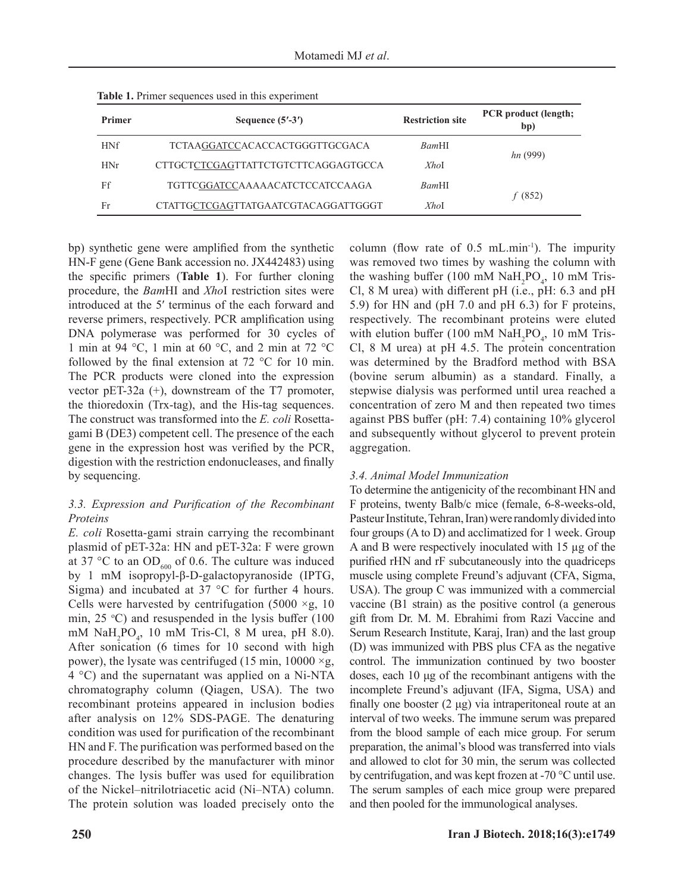| Primer     | Sequence $(5' - 3')$                | <b>Restriction site</b> | <b>PCR</b> product (length;<br>bp) |
|------------|-------------------------------------|-------------------------|------------------------------------|
| <b>HNf</b> | TCTAAGGATCCACACCACTGGGTTGCGACA      | <i>Bam</i> HI           | hn(999)                            |
| HNr        | CTTGCTCTCGAGTTATTCTGTCTTCAGGAGTGCCA | XhoI                    |                                    |
| Ff         | TGTTCGGATCCAAAAACATCTCCATCCAAGA     | <i>Bam</i> HI           | f(852)                             |
| Fr         | CTATTGCTCGAGTTATGAATCGTACAGGATTGGGT | XhoI                    |                                    |

**Table 1.** Primer sequences used in this experiment

bp) synthetic gene were amplified from the synthetic HN-F gene (Gene Bank accession no. JX442483) using the specific primers (**Table 1**). For further cloning procedure, the *Bam*HI and *Xho*I restriction sites were introduced at the 5′ terminus of the each forward and reverse primers, respectively. PCR amplification using DNA polymerase was performed for 30 cycles of 1 min at 94 °C, 1 min at 60 °C, and 2 min at 72 °C followed by the final extension at 72 °C for 10 min. The PCR products were cloned into the expression vector pET-32a (+), downstream of the T7 promoter, the thioredoxin (Trx-tag), and the His-tag sequences. The construct was transformed into the *E. coli* Rosettagami B (DE3) competent cell. The presence of the each gene in the expression host was verified by the PCR, digestion with the restriction endonucleases, and finally by sequencing.

# *3.3. Expression and Purification of the Recombinant Proteins*

*E. coli* Rosetta-gami strain carrying the recombinant plasmid of pET-32a: HN and pET-32a: F were grown at 37 °C to an  $OD_{600}$  of 0.6. The culture was induced by 1 mM isopropyl-β-D-galactopyranoside (IPTG, Sigma) and incubated at  $37 °C$  for further 4 hours. Cells were harvested by centrifugation (5000  $\times$ g, 10 min,  $25 \text{ °C}$ ) and resuspended in the lysis buffer (100 mM  $\text{NaH}_2\text{PO}_4$ , 10 mM Tris-Cl, 8 M urea, pH 8.0). After sonication (6 times for 10 second with high power), the lysate was centrifuged (15 min,  $10000 \times g$ , 4 °C) and the supernatant was applied on a Ni-NTA chromatography column (Qiagen, USA). The two recombinant proteins appeared in inclusion bodies after analysis on 12% SDS-PAGE. The denaturing condition was used for purification of the recombinant HN and F. The purification was performed based on the procedure described by the manufacturer with minor changes. The lysis buffer was used for equilibration of the Nickel–nitrilotriacetic acid (Ni–NTA) column. The protein solution was loaded precisely onto the

column (flow rate of  $0.5$  mL.min<sup>-1</sup>). The impurity was removed two times by washing the column with the washing buffer (100 mM  $\text{NaH}_2\text{PO}_4$ , 10 mM Tris-Cl, 8 M urea) with different pH (i.e., pH: 6.3 and pH 5.9) for HN and (pH 7.0 and pH 6.3) for F proteins, respectively. The recombinant proteins were eluted with elution buffer (100 mM  $\text{NaH}_2\text{PO}_4$ , 10 mM Tris-Cl, 8 M urea) at pH 4.5. The protein concentration was determined by the Bradford method with BSA (bovine serum albumin) as a standard. Finally, a stepwise dialysis was performed until urea reached a concentration of zero M and then repeated two times against PBS buffer (pH: 7.4) containing 10% glycerol and subsequently without glycerol to prevent protein aggregation.

# *3.4. Animal Model Immunization*

To determine the antigenicity of the recombinant HN and F proteins, twenty Balb/c mice (female, 6-8-weeks-old, Pasteur Institute, Tehran, Iran) were randomly divided into four groups (A to D) and acclimatized for 1 week. Group A and B were respectively inoculated with 15 µg of the purified rHN and rF subcutaneously into the quadriceps muscle using complete Freund's adjuvant (CFA, Sigma, USA). The group C was immunized with a commercial vaccine (B1 strain) as the positive control (a generous gift from Dr. M. M. Ebrahimi from Razi Vaccine and Serum Research Institute, Karaj, Iran) and the last group (D) was immunized with PBS plus CFA as the negative control. The [immunization](https://en.wikipedia.org/wiki/Immunization) continued by two booster doses, each 10 μg of the recombinant antigens with the incomplete Freund's adjuvant (IFA, Sigma, USA) and finally one booster (2 μg) via intraperitoneal route at an interval of two weeks. The immune serum was prepared from the blood sample of each mice group. For serum preparation, the animal's blood was transferred into vials and allowed to clot for 30 min, the serum was collected by centrifugation, and was kept frozen at -70 °C until use. The serum samples of each mice group were prepared and then pooled for the immunological analyses.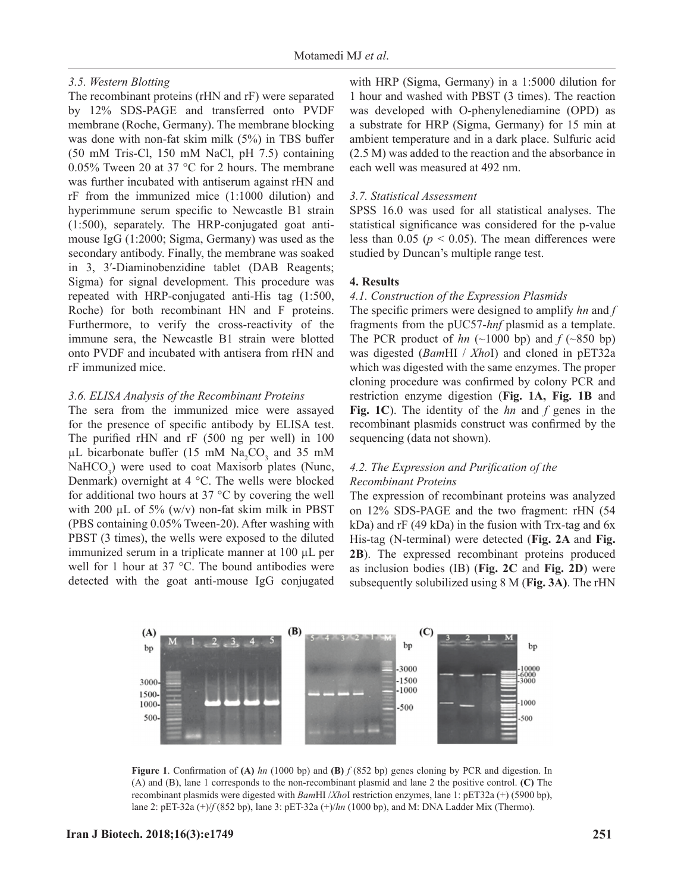#### *3.5. Western Blotting*

The recombinant proteins (rHN and rF) were separated by 12% SDS-PAGE and transferred onto PVDF membrane (Roche, Germany). The membrane blocking was done with non-fat skim milk (5%) in TBS buffer (50 mM Tris-Cl, 150 mM NaCl, pH 7.5) containing 0.05% Tween 20 at 37 °C for 2 hours. The membrane was further incubated with antiserum against rHN and rF from the immunized mice (1:1000 dilution) and hyperimmune serum specific to Newcastle B1 strain (1:500), separately. The HRP-conjugated goat antimouse IgG (1:2000; Sigma, Germany) was used as the secondary antibody. Finally, the membrane was soaked in 3, 3′-Diaminobenzidine tablet (DAB Reagents; Sigma) for signal development. This procedure was repeated with HRP-conjugated anti-His tag (1:500, Roche) for both recombinant HN and F proteins. Furthermore, to verify the cross-reactivity of the immune sera, the Newcastle B1 strain were blotted onto PVDF and incubated with antisera from rHN and rF immunized mice.

#### *3.6. ELISA Analysis of the Recombinant Proteins*

The sera from the immunized mice were assayed for the presence of specific antibody by ELISA test. The purified rHN and rF (500 ng per well) in 100  $\mu$ L bicarbonate buffer (15 mM Na<sub>2</sub>CO<sub>3</sub> and 35 mM NaHCO<sub>3</sub>) were used to coat Maxisorb plates (Nunc, Denmark) overnight at 4 °C. The wells were blocked for additional two hours at 37 °C by covering the well with 200  $\mu$ L of 5% (w/v) non-fat skim milk in PBST (PBS containing 0.05% Tween-20). After washing with PBST (3 times), the wells were exposed to the diluted immunized serum in a triplicate manner at 100 µL per well for 1 hour at 37 °C. The bound antibodies were detected with the goat anti-mouse IgG conjugated

with HRP (Sigma, Germany) in a 1:5000 dilution for 1 hour and washed with PBST (3 times). The reaction was developed with O-phenylenediamine (OPD) as a substrate for HRP (Sigma, Germany) for 15 min at ambient temperature and in a dark place. Sulfuric acid (2.5 M) was added to the reaction and the absorbance in each well was measured at 492 nm.

#### *3.7. Statistical Assessment*

SPSS 16.0 was used for all statistical analyses. The statistical significance was considered for the p-value less than  $0.05$  ( $p < 0.05$ ). The mean differences were studied by Duncan's multiple range test.

#### **4. Results**

#### *4.1. Construction of the Expression Plasmids*

The specific primers were designed to amplify *hn* and *f*  fragments from the pUC57*-hnf* plasmid as a template. The PCR product of  $hn$  (~1000 bp) and  $f$  (~850 bp) was digested (*Bam*HI / *Xho*I) and cloned in pET32a which was digested with the same enzymes. The proper cloning procedure was confirmed by colony PCR and restriction enzyme digestion (**Fig. 1A, Fig. 1B** and **Fig. 1C**). The identity of the *hn* and *f* genes in the recombinant plasmids construct was confirmed by the sequencing (data not shown).

# *4.2. The Expression and Purification of the Recombinant Proteins*

The expression of recombinant proteins was analyzed on 12% SDS-PAGE and the two fragment: rHN (54 kDa) and rF (49 kDa) in the fusion with Trx-tag and 6x His-tag (N-terminal) were detected (**Fig. 2A** and **Fig. 2B**). The expressed recombinant proteins produced as inclusion bodies (IB) (**Fig. 2C** and **Fig. 2D**) were subsequently solubilized using 8 M (**Fig. 3A)**. The rHN



**Figure 1**. Confirmation of **(A)** *hn* (1000 bp) and **(B)** *f* (852 bp) genes cloning by PCR and digestion. In (A) and (B), lane 1 corresponds to the non-recombinant plasmid and lane 2 the positive control. **(C)** The recombinant plasmids were digested with *Bam*HI /*Xho*I restriction enzymes, lane 1: pET32a (+) (5900 bp), lane 2: pET-32a (+)/*f* (852 bp), lane 3: pET-32a (+)/*hn* (1000 bp), and M: DNA Ladder Mix (Thermo).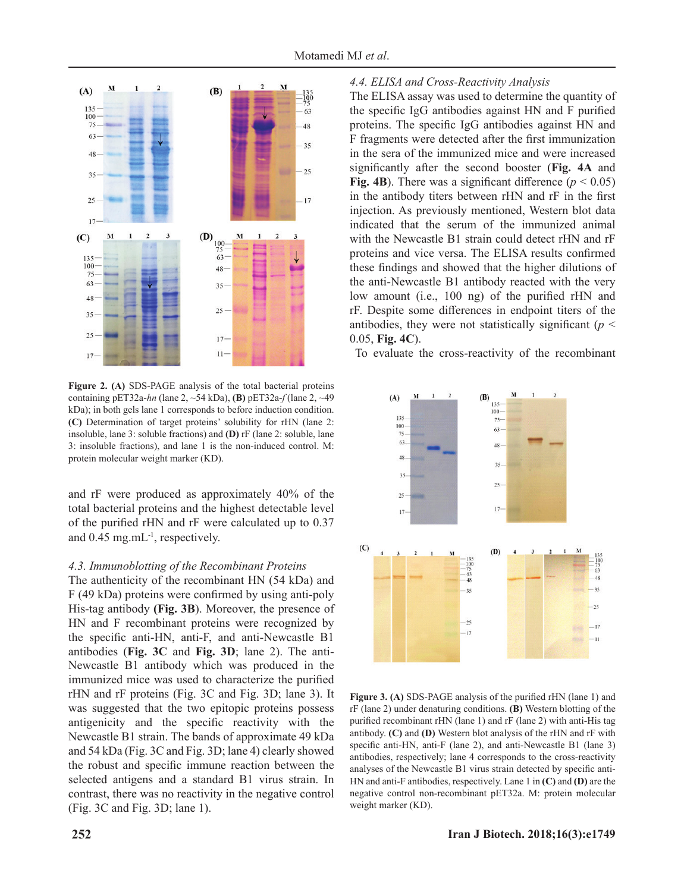

**Figure 2. (A)** SDS-PAGE analysis of the total bacterial proteins containing pET32a-*hn* (lane 2, ~54 kDa), **(B)** pET32a-*f* (lane 2, ~49 kDa); in both gels lane 1 corresponds to before induction condition. **(C)** Determination of target proteins' solubility for rHN (lane 2: insoluble, lane 3: soluble fractions) and **(D)** rF (lane 2: soluble, lane 3: insoluble fractions), and lane 1 is the non-induced control. M: protein molecular weight marker (KD).

and rF were produced as approximately 40% of the total bacterial proteins and the highest detectable level of the purified rHN and rF were calculated up to 0.37 and  $0.45$  mg.mL<sup>-1</sup>, respectively.

#### *4.3. Immunoblotting of the Recombinant Proteins*

The authenticity of the recombinant HN (54 kDa) and F (49 kDa) proteins were confirmed by using anti-poly His-tag antibody **(Fig. 3B**). Moreover, the presence of HN and F recombinant proteins were recognized by the specific anti-HN, anti-F, and anti-Newcastle B1 antibodies (**Fig. 3C** and **Fig. 3D**; lane 2). The anti-Newcastle B1 antibody which was produced in the immunized mice was used to characterize the purified rHN and rF proteins (Fig. 3C and Fig. 3D; lane 3). It was suggested that the two epitopic proteins possess antigenicity and the specific reactivity with the Newcastle B1 strain. The bands of approximate 49 kDa and 54 kDa (Fig. 3C and Fig. 3D; lane 4) clearly showed the robust and specific immune reaction between the selected antigens and a standard B1 virus strain. In contrast, there was no reactivity in the negative control (Fig. 3C and Fig. 3D; lane 1).

### *4.4. ELISA and Cross-Reactivity Analysis*

The ELISA assay was used to determine the quantity of the specific IgG antibodies against HN and F purified proteins. The specific IgG antibodies against HN and F fragments were detected after the first immunization in the sera of the immunized mice and were increased significantly after the second booster (**Fig. 4A** and **Fig. 4B**). There was a significant difference  $(p < 0.05)$ in the antibody titers between rHN and rF in the first injection. As previously mentioned, Western blot data indicated that the serum of the immunized animal with the Newcastle B1 strain could detect rHN and rF proteins and vice versa. The ELISA results confirmed these findings and showed that the higher dilutions of the anti-Newcastle B1 antibody reacted with the very low amount (i.e., 100 ng) of the purified rHN and rF. Despite some differences in endpoint titers of the antibodies, they were not statistically significant (*p* < 0.05, **Fig. 4C**).

To evaluate the cross-reactivity of the recombinant



**Figure 3. (A)** SDS-PAGE analysis of the purified rHN (lane 1) and rF (lane 2) under denaturing conditions. **(B)** Western blotting of the purified recombinant rHN (lane 1) and rF (lane 2) with anti-His tag antibody. **(C)** and **(D)** Western blot analysis of the rHN and rF with specific anti-HN, anti-F (lane 2), and anti-Newcastle B1 (lane 3) antibodies, respectively; lane 4 corresponds to the cross-reactivity analyses of the Newcastle B1 virus strain detected by specific anti-HN and anti-F antibodies, respectively. Lane 1 in **(C)** and **(D)** are the negative control non-recombinant pET32a. M: protein molecular weight marker (KD).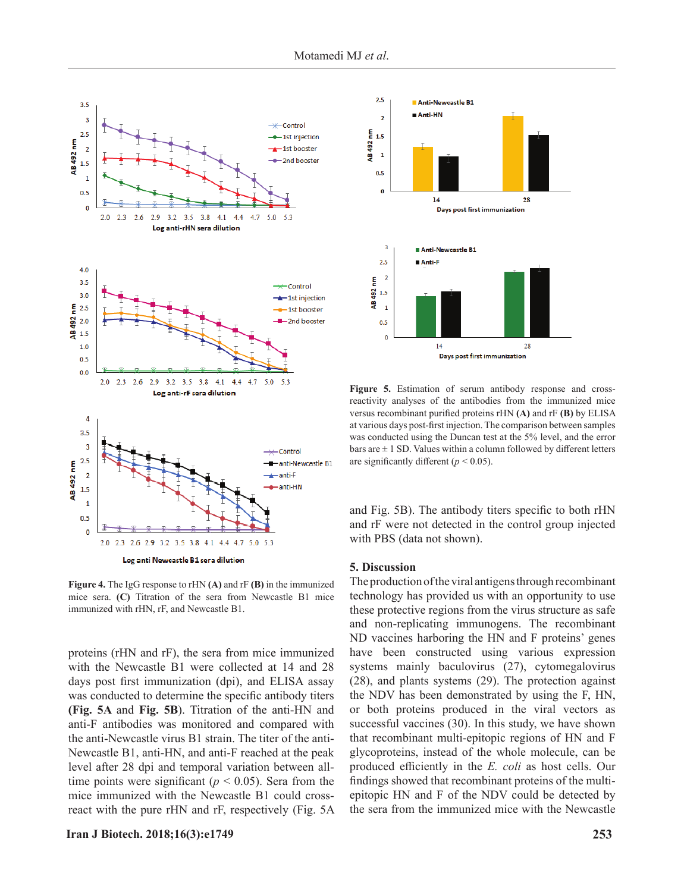

**Figure 4.** The IgG response to rHN **(A)** and rF **(B)** in the immunized mice sera. **(C)** Titration of the sera from Newcastle B1 mice immunized with rHN, rF, and Newcastle B1.

proteins (rHN and rF), the sera from mice immunized with the Newcastle B1 were collected at 14 and 28 days post first immunization (dpi), and ELISA assay was conducted to determine the specific antibody titers **(Fig. 5A** and **Fig. 5B**). Titration of the anti-HN and anti-F antibodies was monitored and compared with the anti-Newcastle virus B1 strain. The titer of the anti-Newcastle B1, anti-HN, and anti-F reached at the peak level after 28 dpi and temporal variation between alltime points were significant ( $p < 0.05$ ). Sera from the mice immunized with the Newcastle B1 could crossreact with the pure rHN and rF, respectively (Fig. 5A



**Figure 5.** Estimation of serum antibody response and crossreactivity analyses of the antibodies from the immunized mice versus recombinant purified proteins rHN **(A)** and rF **(B)** by ELISA at various days post-first injection. The comparison between samples was conducted using the Duncan test at the 5% level, and the error bars are  $\pm$  1 SD. Values within a column followed by different letters are significantly different  $(p < 0.05)$ .

and Fig. 5B). The antibody titers specific to both rHN and rF were not detected in the control group injected with PBS (data not shown).

#### **5. Discussion**

The production of the viral antigens through recombinant technology has provided us with an opportunity to use these protective regions from the virus structure as safe and non-replicating immunogens. The recombinant ND vaccines harboring the HN and F proteins' genes have been constructed using various expression systems mainly baculovirus (27), cytomegalovirus (28), and plants systems (29). The protection against the NDV has been demonstrated by using the F, HN, or both proteins produced in the viral vectors as successful vaccines (30). In this study, we have shown that recombinant multi-epitopic regions of HN and F glycoproteins, instead of the whole molecule, can be produced efficiently in the *E. coli* as host cells. Our findings showed that recombinant proteins of the multiepitopic HN and F of the NDV could be detected by the sera from the immunized mice with the Newcastle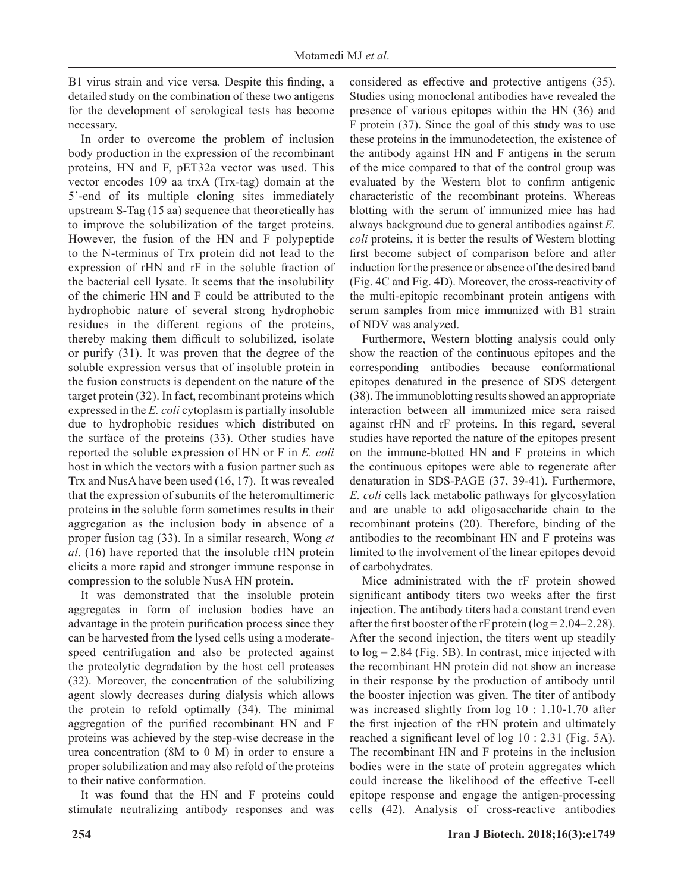B1 virus strain and vice versa. Despite this finding, a detailed study on the combination of these two antigens for the development of serological tests has become necessary.

In order to overcome the problem of inclusion body production in the expression of the recombinant proteins, HN and F, pET32a vector was used. This vector encodes 109 aa trxA (Trx-tag) domain at the 5'-end of its multiple cloning sites immediately upstream S-Tag (15 aa) sequence that theoretically has to improve the solubilization of the target proteins. However, the fusion of the HN and F polypeptide to the N-terminus of Trx protein did not lead to the expression of rHN and rF in the soluble fraction of the bacterial cell lysate. It seems that the insolubility of the chimeric HN and F could be attributed to the hydrophobic nature of several strong hydrophobic residues in the different regions of the proteins, thereby making them difficult to solubilized, isolate or purify (31). It was proven that the degree of the soluble expression versus that of insoluble protein in the fusion constructs is dependent on the nature of the target protein (32). In fact, recombinant proteins which expressed in the *E. coli* cytoplasm is partially insoluble due to hydrophobic residues which distributed on the surface of the proteins (33). Other studies have reported the soluble expression of HN or F in *E. coli* host in which the vectors with a fusion partner such as Trx and NusA have been used (16, 17). It was revealed that the expression of subunits of the heteromultimeric proteins in the soluble form sometimes results in their aggregation as the inclusion body in absence of a proper fusion tag (33). In a similar research, Wong *et al*. (16) have reported that the insoluble rHN protein elicits a more rapid and stronger immune response in compression to the soluble NusA HN protein.

It was demonstrated that the insoluble protein aggregates in form of inclusion bodies have an advantage in the protein purification process since they can be harvested from the lysed cells using a moderatespeed centrifugation and also be protected against the proteolytic degradation by the host cell proteases (32). Moreover, the concentration of the solubilizing agent slowly decreases during dialysis which allows the protein to refold optimally (34). The minimal aggregation of the purified recombinant HN and F proteins was achieved by the step-wise decrease in the urea concentration (8M to 0 M) in order to ensure a proper solubilization and may also refold of the proteins to their native conformation.

It was found that the HN and F proteins could stimulate neutralizing antibody responses and was

considered as effective and protective antigens (35). Studies using monoclonal antibodies have revealed the presence of various epitopes within the HN (36) and F protein (37). Since the goal of this study was to use these proteins in the immunodetection, the existence of the antibody against HN and F antigens in the serum of the mice compared to that of the control group was evaluated by the Western blot to confirm antigenic characteristic of the recombinant proteins. Whereas blotting with the serum of immunized mice has had always background due to general antibodies against *E. coli* proteins, it is better the results of Western blotting first become subject of comparison before and after induction for the presence or absence of the desired band (Fig. 4C and Fig. 4D). Moreover, the cross-reactivity of the multi-epitopic recombinant protein antigens with serum samples from mice immunized with B1 strain of NDV was analyzed.

Furthermore, Western blotting analysis could only show the reaction of the continuous epitopes and the corresponding antibodies because conformational epitopes denatured in the presence of SDS detergent (38). The immunoblotting results showed an appropriate interaction between all immunized mice sera raised against rHN and rF proteins. In this regard, several studies have reported the nature of the epitopes present on the immune-blotted HN and F proteins in which the continuous epitopes were able to regenerate after denaturation in SDS-PAGE (37, 39-41). Furthermore, *E. coli* cells lack metabolic pathways for glycosylation and are unable to add oligosaccharide chain to the recombinant proteins (20). Therefore, binding of the antibodies to the recombinant HN and F proteins was limited to the involvement of the linear epitopes devoid of carbohydrates.

Mice administrated with the rF protein showed significant antibody titers two weeks after the first injection. The antibody titers had a constant trend even after the first booster of the rF protein ( $log = 2.04 - 2.28$ ). After the second injection, the titers went up steadily to log = 2.84 (Fig. 5B). In contrast, mice injected with the recombinant HN protein did not show an increase in their response by the production of antibody until the booster injection was given. The titer of antibody was increased slightly from log 10 : 1.10-1.70 after the first injection of the rHN protein and ultimately reached a significant level of log 10 : 2.31 (Fig. 5A). The recombinant HN and F proteins in the inclusion bodies were in the state of protein aggregates which could increase the likelihood of the effective T-cell epitope response and engage the antigen-processing cells (42). Analysis of cross-reactive antibodies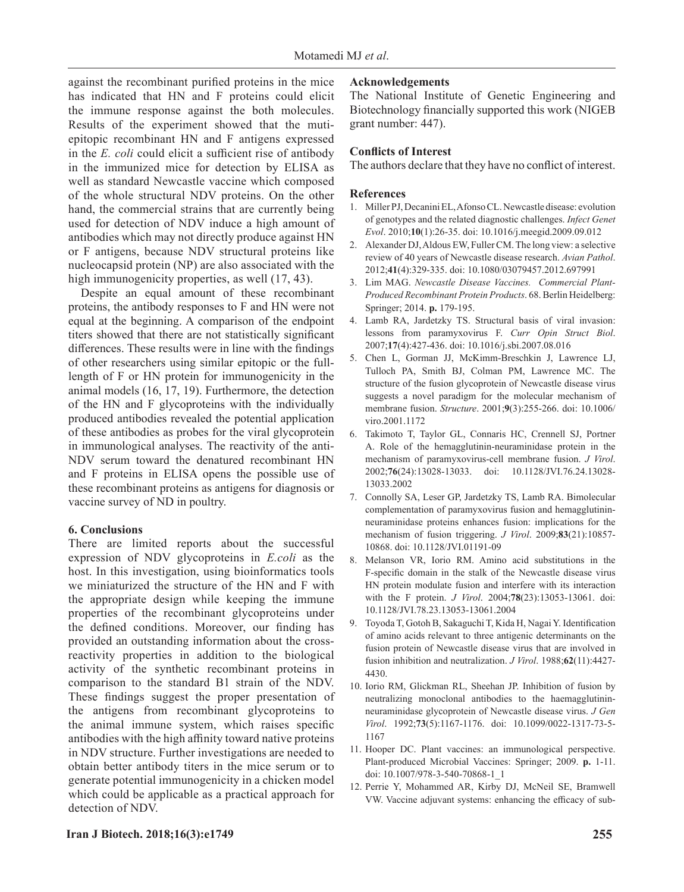against the recombinant purified proteins in the mice has indicated that HN and F proteins could elicit the immune response against the both molecules. Results of the experiment showed that the mutiepitopic recombinant HN and F antigens expressed in the *E. coli* could elicit a sufficient rise of antibody in the immunized mice for detection by ELISA as well as standard Newcastle vaccine which composed of the whole structural NDV proteins. On the other hand, the commercial strains that are currently being used for detection of NDV induce a high amount of antibodies which may not directly produce against HN or F antigens, because NDV structural proteins like nucleocapsid protein (NP) are also associated with the high immunogenicity properties, as well  $(17, 43)$ .

Despite an equal amount of these recombinant proteins, the antibody responses to F and HN were not equal at the beginning. A comparison of the endpoint titers showed that there are not statistically significant differences. These results were in line with the findings of other researchers using similar epitopic or the fulllength of F or HN protein for immunogenicity in the animal models (16, 17, 19). Furthermore, the detection of the HN and F glycoproteins with the individually produced antibodies revealed the potential application of these antibodies as probes for the viral glycoprotein in immunological analyses. The reactivity of the anti-NDV serum toward the denatured recombinant HN and F proteins in ELISA opens the possible use of these recombinant proteins as antigens for diagnosis or vaccine survey of ND in poultry.

## **6. Conclusions**

There are limited reports about the successful expression of NDV glycoproteins in *E.coli* as the host. In this investigation, using bioinformatics tools we miniaturized the structure of the HN and F with the appropriate design while keeping the immune properties of the recombinant glycoproteins under the defined conditions. Moreover, our finding has provided an outstanding information about the crossreactivity properties in addition to the biological activity of the synthetic recombinant proteins in comparison to the standard B1 strain of the NDV. These findings suggest the proper presentation of the antigens from recombinant glycoproteins to the animal immune system, which raises specific antibodies with the high affinity toward native proteins in NDV structure. Further investigations are needed to obtain better antibody titers in the mice serum or to generate potential immunogenicity in a chicken model which could be applicable as a practical approach for detection of NDV.

# **Acknowledgements**

The National Institute of Genetic Engineering and Biotechnology financially supported this work (NIGEB grant number: 447).

# **Conflicts of Interest**

The authors declare that they have no conflict of interest.

## **References**

- 1. Miller PJ, Decanini EL, Afonso CL. Newcastle disease: evolution of genotypes and the related diagnostic challenges. *Infect Genet Evol*. 2010;**10**(1):26-35. doi: 10.1016/j.meegid.2009.09.012
- 2. Alexander DJ, Aldous EW, Fuller CM. The long view: a selective review of 40 years of Newcastle disease research. *Avian Pathol*. 2012;**41**(4):329-335. doi: 10.1080/03079457.2012.697991
- 3. Lim MAG. *Newcastle Disease Vaccines. Commercial Plant-Produced Recombinant Protein Products*. 68. Berlin Heidelberg: Springer; 2014. **p.** 179-195.
- 4. Lamb RA, Jardetzky TS. Structural basis of viral invasion: lessons from paramyxovirus F. *Curr Opin Struct Biol*. 2007;**17**(4):427-436. doi: 10.1016/j.sbi.2007.08.016
- 5. Chen L, Gorman JJ, McKimm-Breschkin J, Lawrence LJ, Tulloch PA, Smith BJ, Colman PM, Lawrence MC. The structure of the fusion glycoprotein of Newcastle disease virus suggests a novel paradigm for the molecular mechanism of membrane fusion. *Structure*. 2001;**9**(3):255-266. doi: 10.1006/ viro.2001.1172
- 6. Takimoto T, Taylor GL, Connaris HC, Crennell SJ, Portner A. Role of the hemagglutinin-neuraminidase protein in the mechanism of paramyxovirus-cell membrane fusion. *J Virol*. 2002;**76**(24):13028-13033. doi: 10.1128/JVI.76.24.13028- 13033.2002
- 7. Connolly SA, Leser GP, Jardetzky TS, Lamb RA. Bimolecular complementation of paramyxovirus fusion and hemagglutininneuraminidase proteins enhances fusion: implications for the mechanism of fusion triggering. *J Virol*. 2009;**83**(21):10857- 10868. doi: 10.1128/JVI.01191-09
- 8. Melanson VR, Iorio RM. Amino acid substitutions in the F-specific domain in the stalk of the Newcastle disease virus HN protein modulate fusion and interfere with its interaction with the F protein. *J Virol*. 2004;**78**(23):13053-13061. doi: 10.1128/JVI.78.23.13053-13061.2004
- 9. Toyoda T, Gotoh B, Sakaguchi T, Kida H, Nagai Y. Identification of amino acids relevant to three antigenic determinants on the fusion protein of Newcastle disease virus that are involved in fusion inhibition and neutralization. *J Virol*. 1988;**62**(11):4427- 4430.
- 10. Iorio RM, Glickman RL, Sheehan JP. Inhibition of fusion by neutralizing monoclonal antibodies to the haemagglutininneuraminidase glycoprotein of Newcastle disease virus. *J Gen Virol*. 1992;**73**(5):1167-1176. doi: 10.1099/0022-1317-73-5- 1167
- 11. Hooper DC. Plant vaccines: an immunological perspective. Plant-produced Microbial Vaccines: Springer; 2009. **p.** 1-11. doi: 10.1007/978-3-540-70868-1\_1
- 12. Perrie Y, Mohammed AR, Kirby DJ, McNeil SE, Bramwell VW. Vaccine adjuvant systems: enhancing the efficacy of sub-

## **Iran J Biotech. 2018;16(3):e1749 255**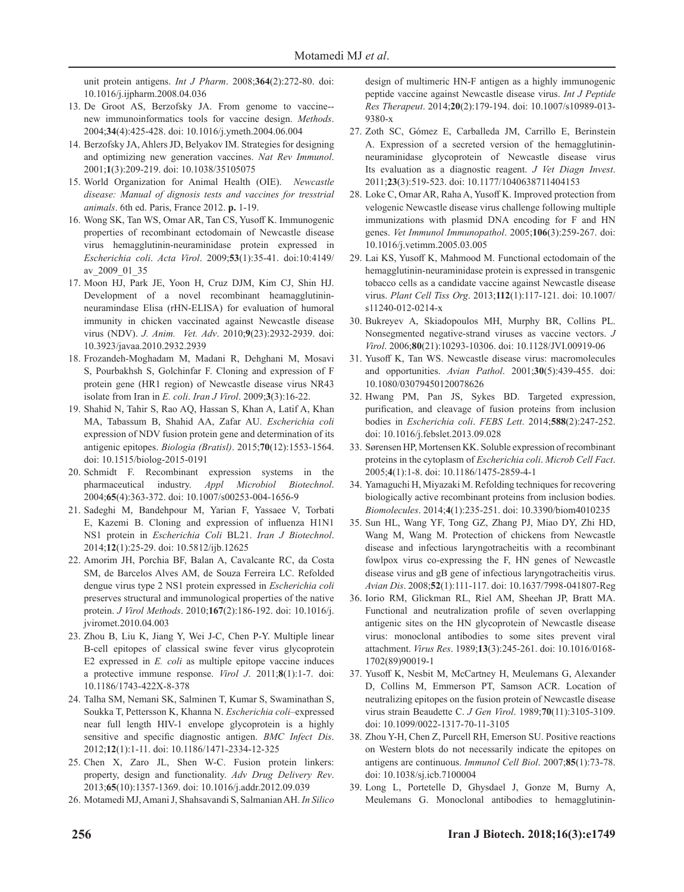unit protein antigens. *Int J Pharm*. 2008;**364**(2):272-80. doi: 10.1016/j.ijpharm.2008.04.036

- 13. De Groot AS, Berzofsky JA. From genome to vaccine- new immunoinformatics tools for vaccine design. *Methods*. 2004;**34**(4):425-428. doi: 10.1016/j.ymeth.2004.06.004
- 14. Berzofsky JA, Ahlers JD, Belyakov IM. Strategies for designing and optimizing new generation vaccines. *Nat Rev Immunol*. 2001;**1**(3):209-219. doi: 10.1038/35105075
- 15. World Organization for Animal Health (OIE). *Newcastle disease: Manual of dignosis tests and vaccines for tresstrial animals*. 6th ed. Paris, France 2012. **p.** 1-19.
- 16. Wong SK, Tan WS, Omar AR, Tan CS, Yusoff K. Immunogenic properties of recombinant ectodomain of Newcastle disease virus hemagglutinin-neuraminidase protein expressed in *Escherichia coli*. *Acta Virol*. 2009;**53**(1):35-41. doi:10:4149/ av\_2009\_01\_35
- 17. Moon HJ, Park JE, Yoon H, Cruz DJM, Kim CJ, Shin HJ. Development of a novel recombinant heamagglutininneuramindase Elisa (rHN-ELISA) for evaluation of humoral immunity in chicken vaccinated against Newcastle disease virus (NDV). *J. Anim. Vet. Adv*. 2010;**9**(23):2932-2939. doi: 10.3923/javaa.2010.2932.2939
- 18. Frozandeh-Moghadam M, Madani R, Dehghani M, Mosavi S, Pourbakhsh S, Golchinfar F. Cloning and expression of F protein gene (HR1 region) of Newcastle disease virus NR43 isolate from Iran in *E. coli*. *Iran J Virol*. 2009;**3**(3):16-22.
- 19. Shahid N, Tahir S, Rao AQ, Hassan S, Khan A, Latif A, Khan MA, Tabassum B, Shahid AA, Zafar AU. *Escherichia coli* expression of NDV fusion protein gene and determination of its antigenic epitopes. *Biologia (Bratisl)*. 2015;**70**(12):1553-1564. doi: 10.1515/biolog-2015-0191
- 20. Schmidt F. Recombinant expression systems in the pharmaceutical industry. *Appl Microbiol Biotechnol*. 2004;**65**(4):363-372. doi: 10.1007/s00253-004-1656-9
- 21. Sadeghi M, Bandehpour M, Yarian F, Yassaee V, Torbati E, Kazemi B. Cloning and expression of influenza H1N1 NS1 protein in *Escherichia Coli* BL21. *Iran J Biotechnol*. 2014;**12**(1):25-29. doi: 10.5812/ijb.12625
- 22. Amorim JH, Porchia BF, Balan A, Cavalcante RC, da Costa SM, de Barcelos Alves AM, de Souza Ferreira LC. Refolded dengue virus type 2 NS1 protein expressed in *Escherichia coli* preserves structural and immunological properties of the native protein. *J Virol Methods*. 2010;**167**(2):186-192. doi: 10.1016/j. jviromet.2010.04.003
- 23. Zhou B, Liu K, Jiang Y, Wei J-C, Chen P-Y. Multiple linear B-cell epitopes of classical swine fever virus glycoprotein E2 expressed in *E. coli* as multiple epitope vaccine induces a protective immune response. *Virol J*. 2011;**8**(1):1-7. doi: 10.1186/1743-422X-8-378
- 24. Talha SM, Nemani SK, Salminen T, Kumar S, Swaminathan S, Soukka T, Pettersson K, Khanna N. *Escherichia coli*–expressed near full length HIV-1 envelope glycoprotein is a highly sensitive and specific diagnostic antigen. *BMC Infect Dis*. 2012;**12**(1):1-11. doi: 10.1186/1471-2334-12-325
- 25. Chen X, Zaro JL, Shen W-C. Fusion protein linkers: property, design and functionality. *Adv Drug Delivery Rev*. 2013;**65**(10):1357-1369. doi: 10.1016/j.addr.2012.09.039
- 26. Motamedi MJ, Amani J, Shahsavandi S, Salmanian AH. *In Silico*

design of multimeric HN-F antigen as a highly immunogenic peptide vaccine against Newcastle disease virus. *Int J Peptide Res Therapeut*. 2014;**20**(2):179-194. doi: 10.1007/s10989-013- 9380-x

- 27. Zoth SC, Gómez E, Carballeda JM, Carrillo E, Berinstein A. Expression of a secreted version of the hemagglutininneuraminidase glycoprotein of Newcastle disease virus Its evaluation as a diagnostic reagent. *J Vet Diagn Invest*. 2011;**23**(3):519-523. doi: 10.1177/1040638711404153
- 28. Loke C, Omar AR, Raha A, Yusoff K. Improved protection from velogenic Newcastle disease virus challenge following multiple immunizations with plasmid DNA encoding for F and HN genes. *Vet Immunol Immunopathol*. 2005;**106**(3):259-267. doi: 10.1016/j.vetimm.2005.03.005
- 29. Lai KS, Yusoff K, Mahmood M. Functional ectodomain of the hemagglutinin-neuraminidase protein is expressed in transgenic tobacco cells as a candidate vaccine against Newcastle disease virus. *Plant Cell Tiss Org*. 2013;**112**(1):117-121. doi: 10.1007/ s11240-012-0214-x
- 30. Bukreyev A, Skiadopoulos MH, Murphy BR, Collins PL. Nonsegmented negative-strand viruses as vaccine vectors. *J Virol*. 2006;**80**(21):10293-10306. doi: 10.1128/JVI.00919-06
- 31. Yusoff K, Tan WS. Newcastle disease virus: macromolecules and opportunities. *Avian Pathol*. 2001;**30**(5):439-455. doi: 10.1080/03079450120078626
- 32. Hwang PM, Pan JS, Sykes BD. Targeted expression, purification, and cleavage of fusion proteins from inclusion bodies in *Escherichia coli*. *FEBS Lett*. 2014;**588**(2):247-252. doi: 10.1016/j.febslet.2013.09.028
- 33. Sørensen HP, Mortensen KK. Soluble expression of recombinant proteins in the cytoplasm of *Escherichia coli*. *Microb Cell Fact*. 2005;**4**(1):1-8. doi: 10.1186/1475-2859-4-1
- 34. Yamaguchi H, Miyazaki M. Refolding techniques for recovering biologically active recombinant proteins from inclusion bodies. *Biomolecules*. 2014;**4**(1):235-251. doi: 10.3390/biom4010235
- 35. Sun HL, Wang YF, Tong GZ, Zhang PJ, Miao DY, Zhi HD, Wang M, Wang M. Protection of chickens from Newcastle disease and infectious laryngotracheitis with a recombinant fowlpox virus co-expressing the F, HN genes of Newcastle disease virus and gB gene of infectious laryngotracheitis virus. *Avian Dis*. 2008;**52**(1):111-117. doi: 10.1637/7998-041807-Reg
- 36. Iorio RM, Glickman RL, Riel AM, Sheehan JP, Bratt MA. Functional and neutralization profile of seven overlapping antigenic sites on the HN glycoprotein of Newcastle disease virus: monoclonal antibodies to some sites prevent viral attachment. *Virus Res*. 1989;**13**(3):245-261. doi: 10.1016/0168- 1702(89)90019-1
- 37. Yusoff K, Nesbit M, McCartney H, Meulemans G, Alexander D, Collins M, Emmerson PT, Samson ACR. Location of neutralizing epitopes on the fusion protein of Newcastle disease virus strain Beaudette C. *J Gen Virol*. 1989;**70**(11):3105-3109. doi: 10.1099/0022-1317-70-11-3105
- 38. Zhou Y-H, Chen Z, Purcell RH, Emerson SU. Positive reactions on Western blots do not necessarily indicate the epitopes on antigens are continuous. *Immunol Cell Biol*. 2007;**85**(1):73-78. doi: 10.1038/sj.icb.7100004
- 39. Long L, Portetelle D, Ghysdael J, Gonze M, Burny A, Meulemans G. Monoclonal antibodies to hemagglutinin-